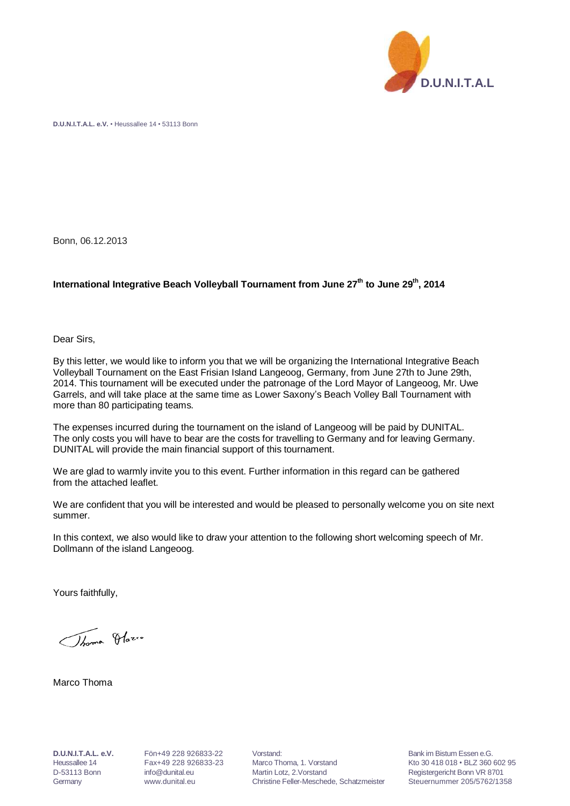

**D.U.N.I.T.A.L. e.V.** • Heussallee 14 • 53113 Bonn

Bonn, 06.12.2013

## **International Integrative Beach Volleyball Tournament from June 27 th to June 29 th , 2014**

Dear Sirs,

By this letter, we would like to inform you that we will be organizing the International Integrative Beach Volleyball Tournament on the East Frisian Island Langeoog, Germany, from June 27th to June 29th, 2014. This tournament will be executed under the patronage of the Lord Mayor of Langeoog, Mr. Uwe Garrels, and will take place at the same time as Lower Saxony's Beach Volley Ball Tournament with more than 80 participating teams.

The expenses incurred during the tournament on the island of Langeoog will be paid by DUNITAL. The only costs you will have to bear are the costs for travelling to Germany and for leaving Germany. DUNITAL will provide the main financial support of this tournament.

We are glad to warmly invite you to this event. Further information in this regard can be gathered from the attached leaflet.

We are confident that you will be interested and would be pleased to personally welcome you on site next summer.

In this context, we also would like to draw your attention to the following short welcoming speech of Mr. Dollmann of the island Langeoog.

Yours faithfully,

Thomas Olazio

Marco Thoma

**D.U.N.I.T.A.L. e.V.** Fön+49 228 926833-22 Vorstand: Bank im Bistum Essen e.G. Heussallee 14 Fax+49 228 926833-23 Marco Thoma, 1. Vorstand Kto 30 418 018 • BLZ 360 602 95 D-53113 Bonn [info@dunital.eu](mailto:info@dunital.eu) Martin Lotz, 2.Vorstand Registergericht Bonn VR 8701 Germany www.dunital.eu Christine Feller-Meschede, Schatzmeister Steuernummer 205/5762/1358